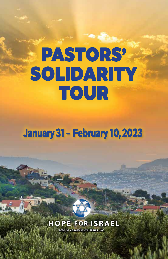# **PASTORS' SOLIDARITY TOUR**

**January 31 - February 10, 2023**

# **HOPE FOR ISRAEL**

*SEED OF ABRAHAM MINISTRIES, INC.*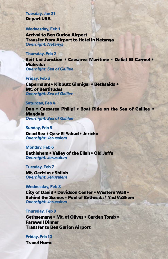# **Tuesday, Jan 31 Depart USA**

#### **Wednesday, Feb 1**

**Arrival to Ben Gurion Airport Transfer from Airport to Hotel in Netanya** *Overnight: Netanya*

# **Thursday, Feb 2**

**Beit Lid Junction \* Caesarea Maritime \* Daliat El Carmel \* Muhraka** *Overnight: Sea of Galilee*

#### **Friday, Feb 3**

**Capernaum \* Kibbutz Ginnigar \* Bethsaida \* Mt. of Beatitudes** *Overnight: Sea of Galilee*

#### **Saturday, Feb 4**

**Dan \* Caesarea Phillpi \* Boat Ride on the Sea of Galilee \* Magdala** *Overnight: Sea of Galilee*

# **Sunday, Feb 5**

**Dead Sea \* Qasr El Yahud \* Jericho** *Overnight: Jerusalem*

#### **Monday, Feb 6**

**Bethlehem \* Valley of the Ellah \* Old Jaffa** *Overnight: Jerusalem*

#### **Tuesday, Feb 7**

**Mt. Gerizim \* Shiloh** *Overnight: Jerusalem*

#### **Wednesday, Feb 8**

**City of David \* Davidson Center \* Western Wall \* Behind the Scenes \* Pool of Bethesda \* Yad VaShem** *Overnight: Jerusalem*

#### **Thursday, Feb 9**

**Gethsemane \* Mt. of Olives \* Garden Tomb \* Farewell Dinner Transfer to Ben Gurion Airport**

**Friday, Feb 10 Travel Home**